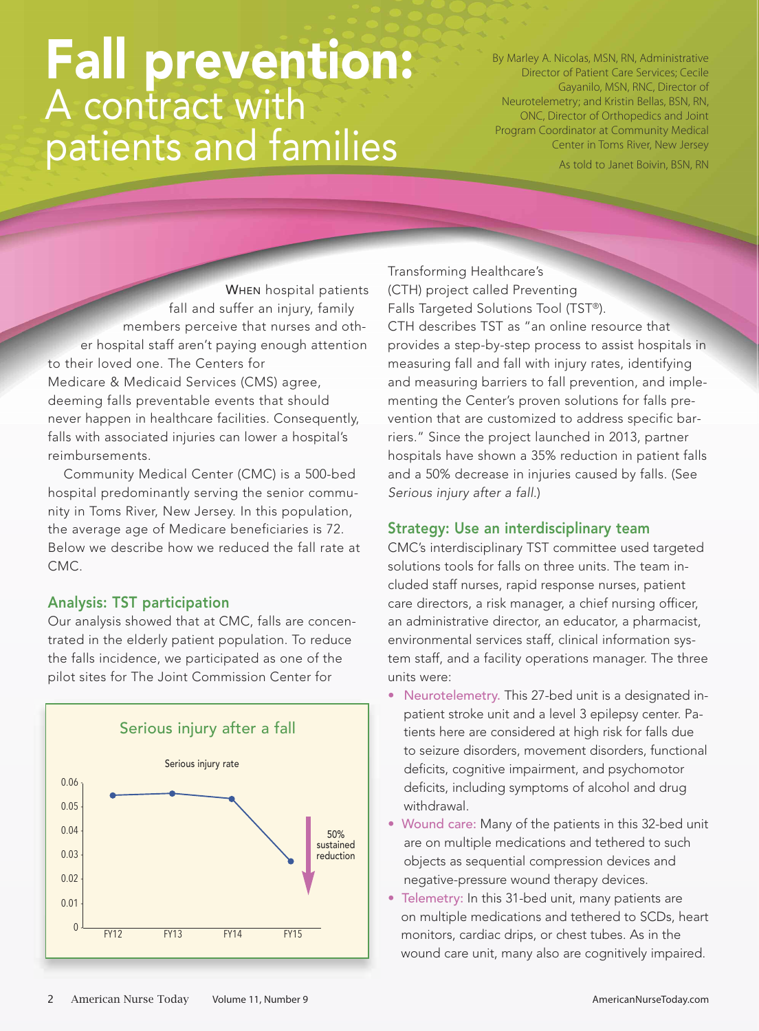# Fall prevention: A contract with patients and families

By Marley A. Nicolas, MSN, RN, Administrative Director of Patient Care Services; Cecile Gayanilo, MSN, RNC, Director of Neurotelemetry; and Kristin Bellas, BSN, RN, ONC, Director of Orthopedics and Joint Program Coordinator at Community Medical Center in Toms River, New Jersey

As told to Janet Boivin, BSN, RN

WHEN hospital patients fall and suffer an injury, family members perceive that nurses and other hospital staff aren't paying enough attention to their loved one. The Centers for Medicare & Medicaid Services (CMS) agree, deeming falls preventable events that should never happen in healthcare facilities. Consequently, falls with associated injuries can lower a hospital's reimbursements.

Community Medical Center (CMC) is a 500-bed hospital predominantly serving the senior community in Toms River, New Jersey. In this population, the average age of Medicare beneficiaries is 72. Below we describe how we reduced the fall rate at CMC.

## Analysis: TST participation

Our analysis showed that at CMC, falls are concentrated in the elderly patient population. To reduce the falls incidence, we participated as one of the pilot sites for The Joint Commission Center for



Transforming Healthcare's (CTH) project called Preventing Falls Targeted Solutions Tool (TST®). CTH describes TST as "an online resource that provides a step-by-step process to assist hospitals in measuring fall and fall with injury rates, identifying and measuring barriers to fall prevention, and implementing the Center's proven solutions for falls prevention that are customized to address specific barriers." Since the project launched in 2013, partner hospitals have shown a 35% reduction in patient falls and a 50% decrease in injuries caused by falls. (See *Serious injury after a fall*.)

#### Strategy: Use an interdisciplinary team

CMC's interdisciplinary TST committee used targeted solutions tools for falls on three units. The team included staff nurses, rapid response nurses, patient care directors, a risk manager, a chief nursing officer, an administrative director, an educator, a pharmacist, environmental services staff, clinical information system staff, and a facility operations manager. The three units were:

- Neurotelemetry. This 27-bed unit is a designated inpatient stroke unit and a level 3 epilepsy center. Patients here are considered at high risk for falls due to seizure disorders, movement disorders, functional deficits, cognitive impairment, and psychomotor deficits, including symptoms of alcohol and drug withdrawal.
- Wound care: Many of the patients in this 32-bed unit are on multiple medications and tethered to such objects as sequential compression devices and negative-pressure wound therapy devices.
- Telemetry: In this 31-bed unit, many patients are on multiple medications and tethered to SCDs, heart monitors, cardiac drips, or chest tubes. As in the wound care unit, many also are cognitively impaired.